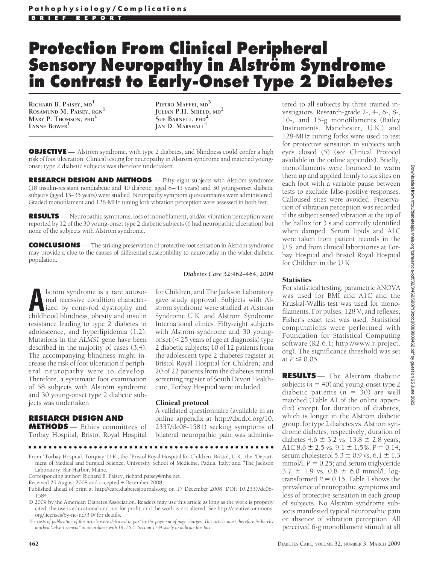# **Protection From Clinical Peripheral Sensory Neuropathy in Alstro¨m Syndrome in Contrast to Early-Onset Type 2 Diabetes**

**RICHARD B. PAISEY, MD<sup>1</sup> ROSAMUND M. PAISEY, RGN<sup>1</sup> MARY P. THOMSON, PHD<sup>1</sup> LYNNE BOWER<sup>1</sup>**

**PIETRO MAFFEI, MD<sup>3</sup> JULIAN P.H. SHIELD, MD<sup>2</sup> SUE BARNETT, PHD<sup>2</sup> JAN D. MARSHALL<sup>4</sup>**

**OBJECTIVE** — Alström syndrome, with type 2 diabetes, and blindness could confer a high risk of foot ulceration. Clinical testing for neuropathy in Alström syndrome and matched youngonset type 2 diabetic subjects was therefore undertaken.

**RESEARCH DESIGN AND METHODS** — Fifty-eight subjects with Alström syndrome (18 insulin-resistant nondiabetic and 40 diabetic; aged 8–43 years) and 30 young-onset diabetic subjects (aged 13–35 years) were studied. Neuropathy symptom questionnaires were administered. Graded monofilament and 128-MHz tuning fork vibration perception were assessed in both feet.

**RESULTS** — Neuropathic symptoms, loss of monofilament, and/or vibration perception were reported by 12 of the 30 young-onset type 2 diabetic subjects (6 had neuropathic ulceration) but none of the subjects with Alström syndrome.

**CONCLUSIONS** — The striking preservation of protective foot sensation in Alström syndrome may provide a clue to the causes of differential susceptibility to neuropathy in the wider diabetic population.

lström syndrome is a rare autosomal recessive condition characterized by cone-rod dystrophy and childhood blindness, obesity and insulin resistance leading to type 2 diabetes in adolescence, and hyperlipidemia (1,2). Mutations in the *ALMS1* gene have been described in the majority of cases (3,4). The accompanying blindness might increase the risk of foot ulceration if peripheral neuropathy were to develop. Therefore, a systematic foot examination of 58 subjects with Alström syndrome and 30 young-onset type 2 diabetic subjects was undertaken.

#### **RESEARCH DESIGN AND**

**METHODS** — Ethics committees of Torbay Hospital, Bristol Royal Hospital *Diabetes Care* **32:462–464, 2009**

for Children, and The Jackson Laboratory gave study approval. Subjects with Alström syndrome were studied at Alström Syndrome U.K. and Alström Syndrome International clinics. Fifty-eight subjects with Alström syndrome and 30 youngonset  $(<$  25 years of age at diagnosis) type 2 diabetic subjects; 10 of 12 patients from the adolescent type 2 diabetes register at Bristol Royal Hospital for Children; and 20 of 22 patients from the diabetes retinal screening register of South Devon Healthcare, Torbay Hospital were included.

#### Clinical protocol

A validated questionnaire (available in an online appendix at http://dx.doi.org/10. 2337/dc08-1584) seeking symptoms of bilateral neuropathic pain was adminis-

From <sup>1</sup>Torbay Hospital, Torquay, U.K.; the <sup>2</sup>Bristol Royal Hospital for Children, Bristol, U.K.; the <sup>3</sup>Department of Medical and Surgical Science, University School of Medicine, Padua, Italy; and <sup>4</sup>The Jackson Laboratory, Bar Harbor, Maine.

●●●●●●●●●●●●●●●●●●●●●●●●●●●●●●●●●●●●●●●●●●●●●●●●●

tered to all subjects by three trained investigators. Research-grade 2-, 4-, 6-, 8-, 10-, and 15-g monofilaments (Bailey Instruments, Manchester, U.K.) and 128-MHz tuning forks were used to test for protective sensation in subjects with eyes closed (5) (see Clinical Protocol available in the online appendix). Briefly, monofilaments were bounced to warm them up and applied firmly to six sites on each foot with a variable pause between tests to exclude false-positive responses. Calloused sites were avoided. Preservation of vibration perception was recorded if the subject sensed vibration at the tip of the hallux for 3 s and correctly identified when damped. Serum lipids and A1C were taken from patient records in the U.S. and from clinical laboratories at Torbay Hospital and Bristol Royal Hospital for Children in the U.K.

### **Statistics**

For statistical testing, parametric ANOVA was used for BMI and A1C and the Kruskal-Wallis test was used for monofilaments. For pulses, 128 V, and reflexes, Fisher's exact test was used. Statistical computations were performed with Foundation for Statistical Computing software (R2.6.1; http://www.r-project. org). The significance threshold was set at  $P \le 0.05$ .

**RESULTS** — The Alström diabetic subjects ( $n = 40$ ) and young-onset type 2 diabetic patients  $(n = 30)$  are well matched (Table A1 of the online appendix) except for duration of diabetes, which is longer in the Alström diabetic group: for type 2 diabetes vs. Alström syndrome diabetes, respectively, duration of diabetes 4.6  $\pm$  3.2 vs. 13.8  $\pm$  2.8 years; A1C  $8.6 \pm 2.5$  vs.  $9.1 \pm 1.5$ %,  $P = 0.14$ ; serum cholesterol  $5.3 \pm 0.9$  vs.  $6.1 \pm 1.3$  $mmol/l, P = 0.25$ ; and serum triglyceride  $3.7 \pm 1.9$  vs.  $0.8 \pm 6.0$  mmol/l, logtransformed  $P = 0.15$ . Table 1 shows the prevalence of neuropathic symptoms and loss of protective sensation in each group of subjects. No Alström syndrome subjects manifested typical neuropathic pain or absence of vibration perception. All perceived 6-g monofilament stimuli at all

Corresponding author: Richard B. Paisey, richard.paisey@nhs.net.

Received 29 August 2008 and accepted 4 December 2008.

Published ahead of print at http://care.diabetesjournals.org on 17 December 2008. DOI: 10.2337/dc08- 1584.

<sup>© 2009</sup> by the American Diabetes Association. Readers may use this article as long as the work is properly cited, the use is educational and not for profit, and the work is not altered. See http://creativecommons. org/licenses/by-nc-nd/3.0/ for details.

*The costs of publication of this article were defrayed in part by the payment of page charges. This article must therefore be hereby marked "advertisement" in accordance with 18 U.S.C. Section 1734 solely to indicate this fact.*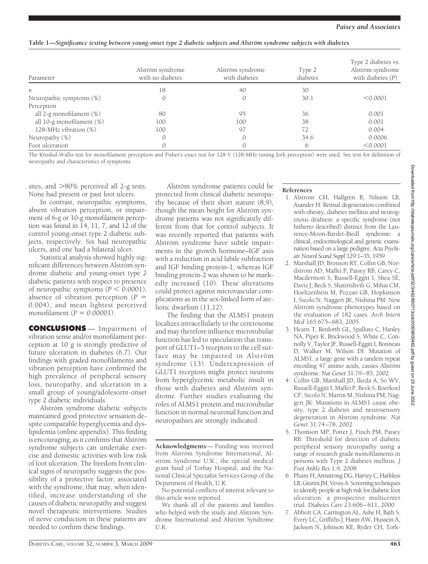## **Table 1—***Significance testing between young-onset type 2 diabetic subjects and Alström syndrome subjects with diabetes*

| Parameter                 | Alström syndrome<br>with no diabetes | Alström syndrome<br>with diabetes | Type 2<br>diabetes | Type 2 diabetes vs.<br>Alström syndrome<br>with diabetes $(P)$ |
|---------------------------|--------------------------------------|-----------------------------------|--------------------|----------------------------------------------------------------|
| n                         | 18                                   | 40                                | 30                 |                                                                |
| Neuropathic symptoms (%)  |                                      |                                   | 30.1               | < 0.0001                                                       |
| Perception                |                                      |                                   |                    |                                                                |
| all 2-g monofilament (%)  | 80                                   | 95                                | 36                 | 0.001                                                          |
| all 10-g monofilament (%) | 100                                  | 100                               | 38                 | 0.001                                                          |
| 128-MHz vibration (%)     | 100                                  | 97                                | 72                 | 0.004                                                          |
| Neuropathy (%)            |                                      |                                   | 34.6               | 0.0006                                                         |
| Foot ulceration           |                                      |                                   | 6                  | < 0.0001                                                       |

The Kruskal-Wallis test for monofilament perception and Fisher's exact test for 128 V (128-MHz tuning fork perception) were used. See text for definition of neuropathy and characteristics of symptoms.

sites, and  $>80\%$  perceived all 2-g tests. None had present or past foot ulcers.

In contrast, neuropathic symptoms, absent vibration perception, or impairment of 6-g or 10-g monofilament perception was found in 14, 11, 7, and 12 of the control young-onset type 2 diabetic subjects, respectively. Six had neuropathic ulcers, and one had a bilateral ulcer.

Statistical analysis showed highly significant differences between Alström syndrome diabetic and young-onset type 2 diabetic patients with respect to presence of neuropathic symptoms  $(P < 0.0001)$ , absence of vibration perception  $(P =$ 0.004), and mean lightest perceived monofilament ( $P = 0.00001$ ).

**CONCLUSIONS** — Impairment of vibration sense and/or monofilament perception at 10 g is strongly predictive of future ulceration in diabetes (6,7). Our findings with graded monofilaments and vibration perception have confirmed the high prevalence of peripheral sensory loss, neuropathy, and ulceration in a small group of young/adolescent-onset type 2 diabetic individuals.

Alström syndrome diabetic subjects maintained good protective sensation despite comparable hyperglycemia and dyslipidemia (online appendix). This finding is encouraging, as it confirms that Alström syndrome subjects can undertake exercise and domestic activities with low risk of foot ulceration. The freedom from clinical signs of neuropathy suggests the possibility of a protective factor, associated with the syndrome, that may, when identified, increase understanding of the causes of diabetic neuropathy and suggest novel therapeutic interventions. Studies of nerve conduction in these patients are needed to confirm these findings.

Alström syndrome patients could be protected from clinical diabetic neuropathy because of their short stature (8,9), though the mean height for Alström syndrome patients was not significantly different from that for control subjects. It was recently reported that patients with Alström syndrome have subtle impairments in the growth hormone–IGF axis with a reduction in acid labile subfraction and IGF binding protein-1, whereas IGF binding protein-2 was shown to be markedly increased (10). These alterations could protect against microvascular complications as in the sex-linked form of ateliotic dwarfism (11,12).

The finding that the ALMS1 protein localizes intracellularly to the centrosome and may therefore influence microtubular function has led to speculation that transport of GLUT1–5 receptors to the cell surface may be impaired in Alström syndrome (13). Underexpression of GLUT1 receptors might protect neurons from hyperglycemic metabolic insult in those with diabetes and Alström syndrome. Further studies evaluating the roles of ALMS1 protein and microtubular function in normal neuronal function and neuropathies are strongly indicated.

**Acknowledgments**— Funding was received from Alström Syndrome International, Alström Syndrome U.K., the special medical grant fund of Torbay Hospital, and the National Clinical Specialist Services Group of the Department of Health, U.K.

No potential conflicts of interest relevant to this article were reported.

We thank all of the patients and families who helped with the study and Alström Syndrome International and Alström Syndrome U.K.

#### **References**

- 1. Alstrom CH, Hallgren B, Nilsson LB, Asander H: Retinal degeneration combined with obesity, diabetes mellitus and neurogenous deafness: a specific syndrome (not hitherto described) distinct from the Laurence-Moon-Bardet-Biedl syndrome: a clinical, endocrinological and genetic examination based on a large pedigree. *Acta Psychiatr Neurol Scand Suppl* 129:1–35, 1959
- 2. Marshall JD, Bronson RT, Collin GB, Nordstrom AD, Maffei P, Paisey RB, Carey C, Macdermott S, Russell-Eggitt I, Shea SE, Davis J, Beck S, Shatirishvili G, Mihai CM, Hoeltzenbein M, Pozzan GB, Hopkinson I, Sicolo N, Naggert JK, Nishina PM: New Alström syndrome phenotypes based on the evaluation of 182 cases. *Arch Intern Med* 165:675–683, 2005
- 3. Hearn T, Renforth GL, Spalluto C, Hanley NA, Piper K, Brickwood S, White C, Connolly V, Taylor JF, Russell-Eggitt I, Bonneau D, Walker M, Wilson DI: Mutation of ALMS1, a large gene with a tandem repeat encoding 47 amino acids, causes Alström syndrome. *Nat Genet* 31:79–83, 2002
- 4. Collin GB, Marshall JD, Ikeda A, So WV, Russell-Eggitt I, Maffei P, Beck S, Boerkoel CF, Sicolo N, Martin M, Nishina PM, Naggert JK: Mutations in ALMS1 cause obesity, type 2 diabetes and neurosensory degeneration in Alström syndrome. Nat *Genet* 31:74–78, 2002
- 5. Thomson MP, Potter J, Finch PM, Paisey RB: Threshold for detection of diabetic peripheral sensory neuropathy using a range of research grade monofilaments in persons with Type 2 diabetes mellitus. *J Foot Ankle Res* 1:9, 2008
- 6. Pham H, Armstrong DG, Harvey C, Harkless LB, Giurini JM, Veves A: Screening techniques to identify people at high risk for diabetic foot ulceration: a prospective multicenter trial. *Diabetes Care* 23:606–611, 2000
- 7. Abbott CA, Carrington AL, Ashe H, Bath S, Every LC, Griffiths J, Hann AW, Hussein A, Jackson N, Johnson KE, Ryder CH, Tork-